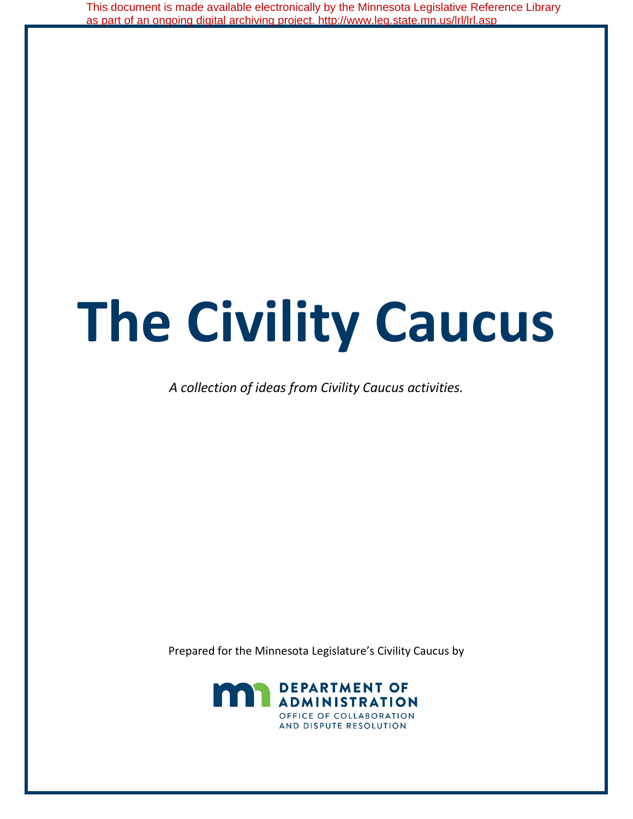This document is made available electronically by the Minnesota Legislative Reference Library as part of an ongoing digital archiving project. http://www.leg.state.mn.us/lrl/lrl.asp

# **The Civility Caucus**

*A collection of ideas from Civility Caucus activities.*

Prepared for the Minnesota Legislature's Civility Caucus by

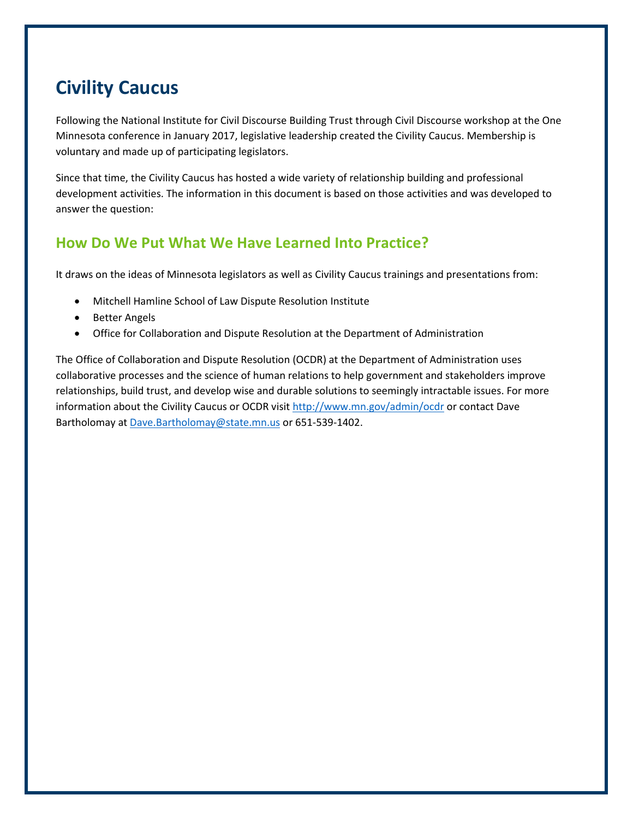# **Civility Caucus**

Following the National Institute for Civil Discourse Building Trust through Civil Discourse workshop at the One Minnesota conference in January 2017, legislative leadership created the Civility Caucus. Membership is voluntary and made up of participating legislators.

Since that time, the Civility Caucus has hosted a wide variety of relationship building and professional development activities. The information in this document is based on those activities and was developed to answer the question:

## **How Do We Put What We Have Learned Into Practice?**

It draws on the ideas of Minnesota legislators as well as Civility Caucus trainings and presentations from:

- Mitchell Hamline School of Law Dispute Resolution Institute
- Better Angels
- Office for Collaboration and Dispute Resolution at the Department of Administration

The Office of Collaboration and Dispute Resolution (OCDR) at the Department of Administration uses collaborative processes and the science of human relations to help government and stakeholders improve relationships, build trust, and develop wise and durable solutions to seemingly intractable issues. For more information about the Civility Caucus or OCDR visit<http://www.mn.gov/admin/ocdr> or contact Dave Bartholomay a[t Dave.Bartholomay@state.mn.us](mailto:Dave.Bartholomay@state.mn.us) or 651-539-1402.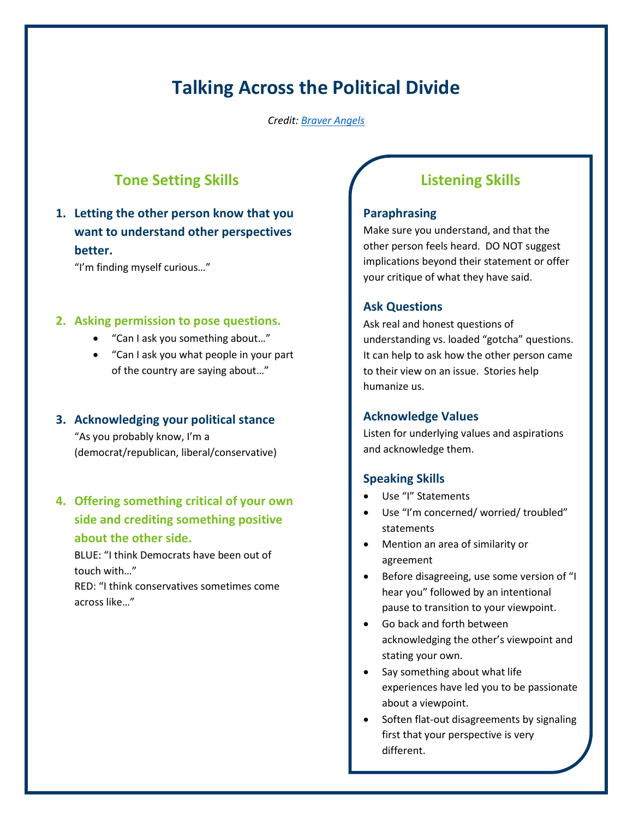# **Talking Across the Political Divide**

*Credit: [Braver](https://www.thebetterangelssociety.org/) [Angels](http://www.braverangels.org/)*

## **Tone Setting Skills**

#### **1. Letting the other person know that you want to understand other perspectives better.**

"I'm finding myself curious…"

#### **2. Asking permission to pose questions.**

- "Can I ask you something about…"
- "Can I ask you what people in your part of the country are saying about…"

#### **3. Acknowledging your political stance**

"As you probably know, I'm a (democrat/republican, liberal/conservative)

#### **4. Offering something critical of your own side and crediting something positive about the other side.**

BLUE: "I think Democrats have been out of touch with…"

RED: "I think conservatives sometimes come across like…"

## **Listening Skills**

#### **Paraphrasing**

Make sure you understand, and that the other person feels heard. DO NOT suggest implications beyond their statement or offer your critique of what they have said.

#### **Ask Questions**

Ask real and honest questions of understanding vs. loaded "gotcha" questions. It can help to ask how the other person came to their view on an issue. Stories help humanize us.

#### **Acknowledge Values**

Listen for underlying values and aspirations and acknowledge them.

#### **Speaking Skills**

- Use "I" Statements
- Use "I'm concerned/ worried/ troubled" statements
- Mention an area of similarity or agreement
- Before disagreeing, use some version of "I hear you" followed by an intentional pause to transition to your viewpoint.
- Go back and forth between acknowledging the other's viewpoint and stating your own.
- Say something about what life experiences have led you to be passionate about a viewpoint.
- Soften flat-out disagreements by signaling first that your perspective is very different.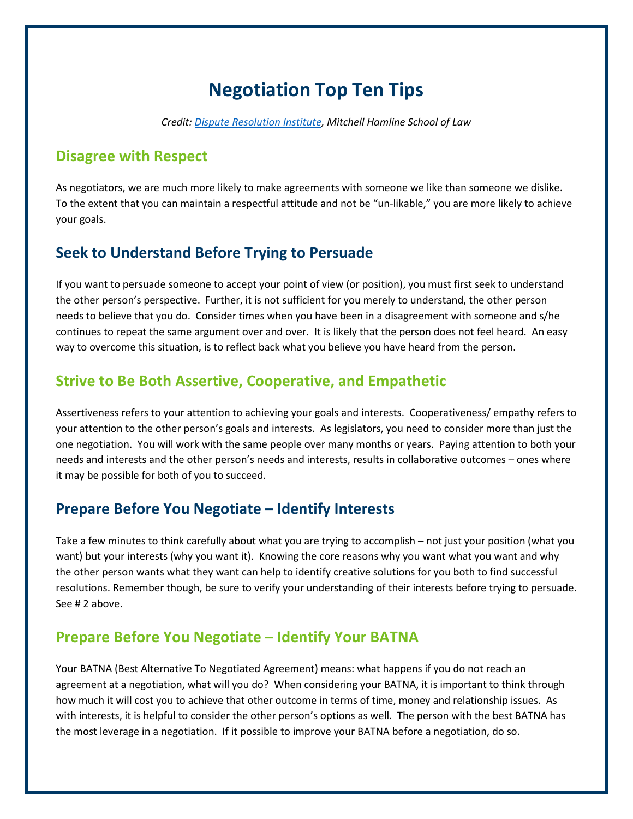# **Negotiation Top Ten Tips**

*Credit: [Dispute Resolution Institute,](https://mitchellhamline.edu/dispute-resolution-institute/) Mitchell Hamline School of Law*

#### **Disagree with Respect**

As negotiators, we are much more likely to make agreements with someone we like than someone we dislike. To the extent that you can maintain a respectful attitude and not be "un-likable," you are more likely to achieve your goals.

#### **Seek to Understand Before Trying to Persuade**

If you want to persuade someone to accept your point of view (or position), you must first seek to understand the other person's perspective. Further, it is not sufficient for you merely to understand, the other person needs to believe that you do. Consider times when you have been in a disagreement with someone and s/he continues to repeat the same argument over and over. It is likely that the person does not feel heard. An easy way to overcome this situation, is to reflect back what you believe you have heard from the person.

#### **Strive to Be Both Assertive, Cooperative, and Empathetic**

Assertiveness refers to your attention to achieving your goals and interests. Cooperativeness/ empathy refers to your attention to the other person's goals and interests. As legislators, you need to consider more than just the one negotiation. You will work with the same people over many months or years. Paying attention to both your needs and interests and the other person's needs and interests, results in collaborative outcomes – ones where it may be possible for both of you to succeed.

#### **Prepare Before You Negotiate – Identify Interests**

Take a few minutes to think carefully about what you are trying to accomplish – not just your position (what you want) but your interests (why you want it). Knowing the core reasons why you want what you want and why the other person wants what they want can help to identify creative solutions for you both to find successful resolutions. Remember though, be sure to verify your understanding of their interests before trying to persuade. See # 2 above.

#### **Prepare Before You Negotiate – Identify Your BATNA**

Your BATNA (Best Alternative To Negotiated Agreement) means: what happens if you do not reach an agreement at a negotiation, what will you do? When considering your BATNA, it is important to think through how much it will cost you to achieve that other outcome in terms of time, money and relationship issues. As with interests, it is helpful to consider the other person's options as well. The person with the best BATNA has the most leverage in a negotiation. If it possible to improve your BATNA before a negotiation, do so.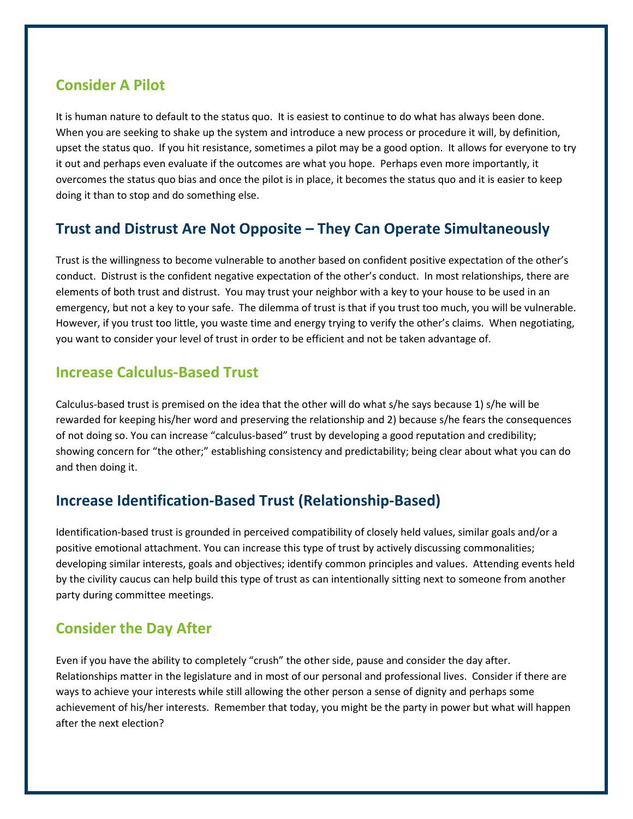#### **Consider A Pilot**

It is human nature to default to the status quo. It is easiest to continue to do what has always been done. When you are seeking to shake up the system and introduce a new process or procedure it will, by definition, upset the status quo. If you hit resistance, sometimes a pilot may be a good option. It allows for everyone to try it out and perhaps even evaluate if the outcomes are what you hope. Perhaps even more importantly, it overcomes the status quo bias and once the pilot is in place, it becomes the status quo and it is easier to keep doing it than to stop and do something else.

#### **Trust and Distrust Are Not Opposite – They Can Operate Simultaneously**

Trust is the willingness to become vulnerable to another based on confident positive expectation of the other's conduct. Distrust is the confident negative expectation of the other's conduct. In most relationships, there are elements of both trust and distrust. You may trust your neighbor with a key to your house to be used in an emergency, but not a key to your safe. The dilemma of trust is that if you trust too much, you will be vulnerable. However, if you trust too little, you waste time and energy trying to verify the other's claims. When negotiating, you want to consider your level of trust in order to be efficient and not be taken advantage of.

#### **Increase Calculus-Based Trust**

Calculus-based trust is premised on the idea that the other will do what s/he says because 1) s/he will be rewarded for keeping his/her word and preserving the relationship and 2) because s/he fears the consequences of not doing so. You can increase "calculus-based" trust by developing a good reputation and credibility; showing concern for "the other;" establishing consistency and predictability; being clear about what you can do and then doing it.

## **Increase Identification-Based Trust (Relationship-Based)**

Identification-based trust is grounded in perceived compatibility of closely held values, similar goals and/or a positive emotional attachment. You can increase this type of trust by actively discussing commonalities; developing similar interests, goals and objectives; identify common principles and values. Attending events held by the civility caucus can help build this type of trust as can intentionally sitting next to someone from another party during committee meetings.

## **Consider the Day After**

Even if you have the ability to completely "crush" the other side, pause and consider the day after. Relationships matter in the legislature and in most of our personal and professional lives. Consider if there are ways to achieve your interests while still allowing the other person a sense of dignity and perhaps some achievement of his/her interests. Remember that today, you might be the party in power but what will happen after the next election?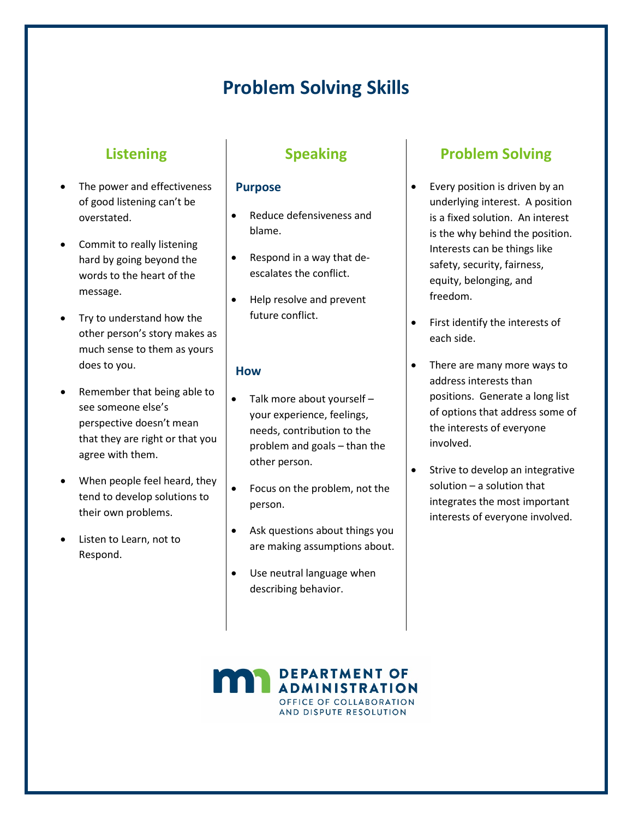# **Problem Solving Skills**

## **Listening**

- The power and effectiveness of good listening can't be overstated.
- Commit to really listening hard by going beyond the words to the heart of the message.
- Try to understand how the other person's story makes as much sense to them as yours does to you.
- Remember that being able to see someone else's perspective doesn't mean that they are right or that you agree with them.
- When people feel heard, they tend to develop solutions to their own problems.
- Listen to Learn, not to Respond.

## **Speaking**

#### **Purpose**

- Reduce defensiveness and blame.
- Respond in a way that deescalates the conflict.
- Help resolve and prevent future conflict.

#### **How**

- Talk more about yourself your experience, feelings, needs, contribution to the problem and goals – than the other person.
- Focus on the problem, not the person.
- Ask questions about things you are making assumptions about.
- Use neutral language when describing behavior.

## **Problem Solving**

- Every position is driven by an underlying interest. A position is a fixed solution. An interest is the why behind the position. Interests can be things like safety, security, fairness, equity, belonging, and freedom.
- First identify the interests of each side.
- There are many more ways to address interests than positions. Generate a long list of options that address some of the interests of everyone involved.
- Strive to develop an integrative solution – a solution that integrates the most important interests of everyone involved.

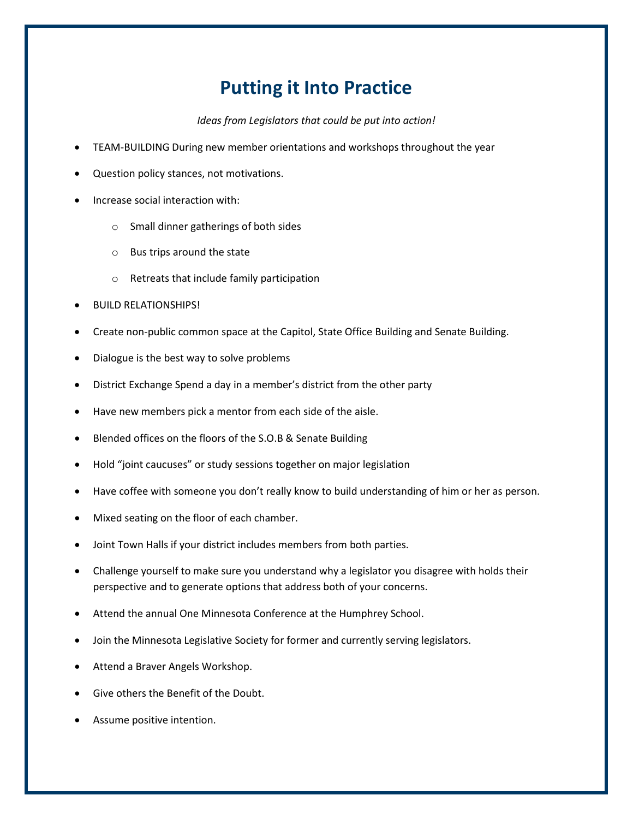# **Putting it Into Practice**

*Ideas from Legislators that could be put into action!*

- TEAM-BUILDING During new member orientations and workshops throughout the year
- Question policy stances, not motivations.
- Increase social interaction with:
	- o Small dinner gatherings of both sides
	- o Bus trips around the state
	- o Retreats that include family participation
- BUILD RELATIONSHIPS!
- Create non-public common space at the Capitol, State Office Building and Senate Building.
- Dialogue is the best way to solve problems
- District Exchange Spend a day in a member's district from the other party
- Have new members pick a mentor from each side of the aisle.
- Blended offices on the floors of the S.O.B & Senate Building
- Hold "joint caucuses" or study sessions together on major legislation
- Have coffee with someone you don't really know to build understanding of him or her as person.
- Mixed seating on the floor of each chamber.
- Joint Town Halls if your district includes members from both parties.
- Challenge yourself to make sure you understand why a legislator you disagree with holds their perspective and to generate options that address both of your concerns.
- Attend the annual One Minnesota Conference at the Humphrey School.
- Join the Minnesota Legislative Society for former and currently serving legislators.
- Attend a Braver Angels Workshop.
- Give others the Benefit of the Doubt.
- Assume positive intention.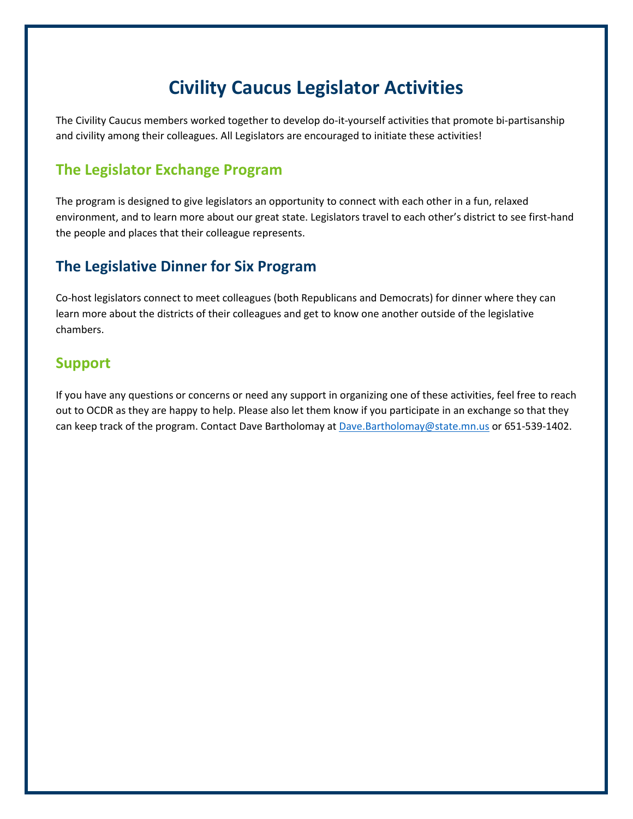# **Civility Caucus Legislator Activities**

The Civility Caucus members worked together to develop do-it-yourself activities that promote bi-partisanship and civility among their colleagues. All Legislators are encouraged to initiate these activities!

#### **The Legislator Exchange Program**

The program is designed to give legislators an opportunity to connect with each other in a fun, relaxed environment, and to learn more about our great state. Legislators travel to each other's district to see first-hand the people and places that their colleague represents.

#### **The Legislative Dinner for Six Program**

Co-host legislators connect to meet colleagues (both Republicans and Democrats) for dinner where they can learn more about the districts of their colleagues and get to know one another outside of the legislative chambers.

#### **Support**

If you have any questions or concerns or need any support in organizing one of these activities, feel free to reach out to OCDR as they are happy to help. Please also let them know if you participate in an exchange so that they can keep track of the program. Contact Dave Bartholomay at [Dave.Bartholomay@state.mn.us](mailto:Dave.Bartholomay@state.mn.us) or 651-539-1402.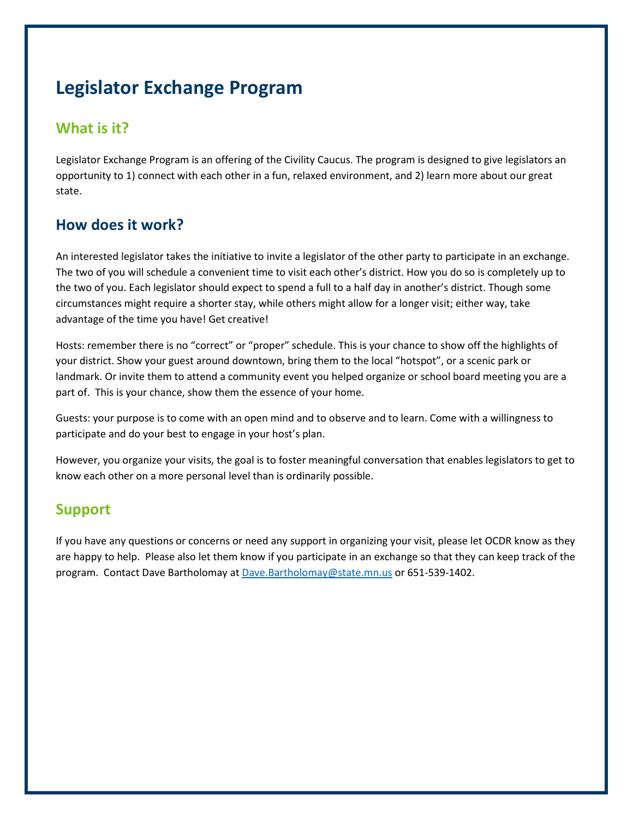# **Legislator Exchange Program**

## **What is it?**

Legislator Exchange Program is an offering of the Civility Caucus. The program is designed to give legislators an opportunity to 1) connect with each other in a fun, relaxed environment, and 2) learn more about our great state.

## **How does it work?**

An interested legislator takes the initiative to invite a legislator of the other party to participate in an exchange. The two of you will schedule a convenient time to visit each other's district. How you do so is completely up to the two of you. Each legislator should expect to spend a full to a half day in another's district. Though some circumstances might require a shorter stay, while others might allow for a longer visit; either way, take advantage of the time you have! Get creative!

Hosts: remember there is no "correct" or "proper" schedule. This is your chance to show off the highlights of your district. Show your guest around downtown, bring them to the local "hotspot", or a scenic park or landmark. Or invite them to attend a community event you helped organize or school board meeting you are a part of. This is your chance, show them the essence of your home.

Guests: your purpose is to come with an open mind and to observe and to learn. Come with a willingness to participate and do your best to engage in your host's plan.

However, you organize your visits, the goal is to foster meaningful conversation that enables legislators to get to know each other on a more personal level than is ordinarily possible.

#### **Support**

If you have any questions or concerns or need any support in organizing your visit, please let OCDR know as they are happy to help. Please also let them know if you participate in an exchange so that they can keep track of the program. Contact Dave Bartholomay at [Dave.Bartholomay@state.mn.us](mailto:Dave.Bartholomay@state.mn.us) or 651-539-1402.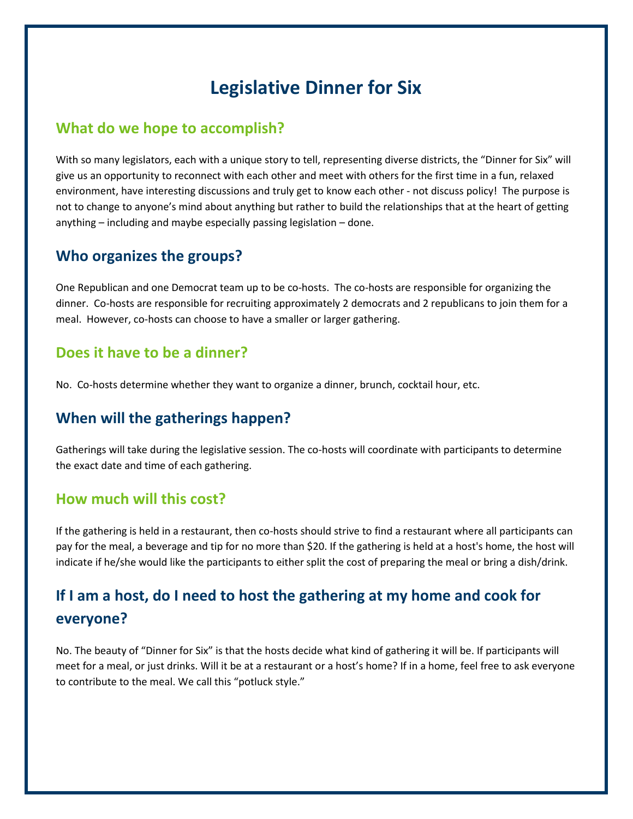# **Legislative Dinner for Six**

#### **What do we hope to accomplish?**

With so many legislators, each with a unique story to tell, representing diverse districts, the "Dinner for Six" will give us an opportunity to reconnect with each other and meet with others for the first time in a fun, relaxed environment, have interesting discussions and truly get to know each other - not discuss policy! The purpose is not to change to anyone's mind about anything but rather to build the relationships that at the heart of getting anything – including and maybe especially passing legislation – done.

#### **Who organizes the groups?**

One Republican and one Democrat team up to be co-hosts. The co-hosts are responsible for organizing the dinner. Co-hosts are responsible for recruiting approximately 2 democrats and 2 republicans to join them for a meal. However, co-hosts can choose to have a smaller or larger gathering.

#### **Does it have to be a dinner?**

No. Co-hosts determine whether they want to organize a dinner, brunch, cocktail hour, etc.

## **When will the gatherings happen?**

Gatherings will take during the legislative session. The co-hosts will coordinate with participants to determine the exact date and time of each gathering.

#### **How much will this cost?**

If the gathering is held in a restaurant, then co-hosts should strive to find a restaurant where all participants can pay for the meal, a beverage and tip for no more than \$20. If the gathering is held at a host's home, the host will indicate if he/she would like the participants to either split the cost of preparing the meal or bring a dish/drink.

## **If I am a host, do I need to host the gathering at my home and cook for everyone?**

No. The beauty of "Dinner for Six" is that the hosts decide what kind of gathering it will be. If participants will meet for a meal, or just drinks. Will it be at a restaurant or a host's home? If in a home, feel free to ask everyone to contribute to the meal. We call this "potluck style."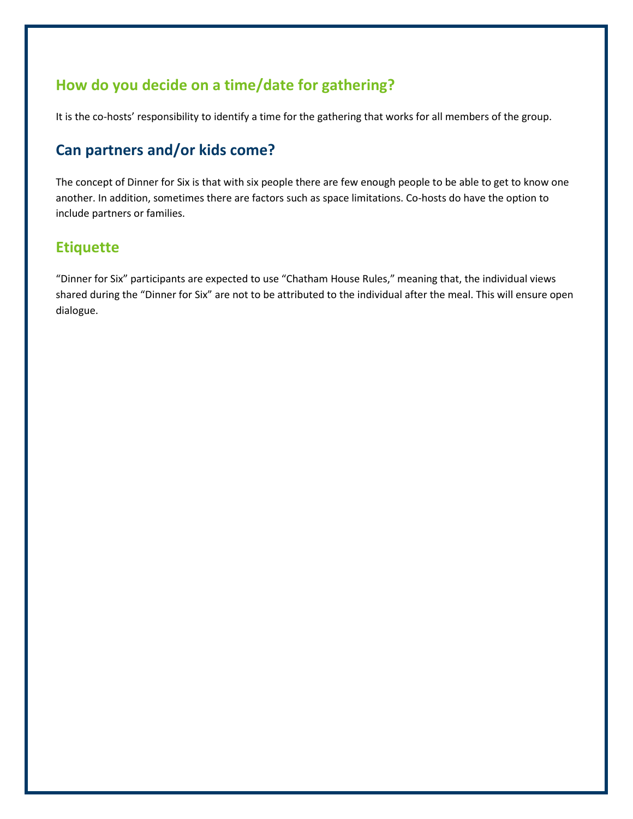## **How do you decide on a time/date for gathering?**

It is the co-hosts' responsibility to identify a time for the gathering that works for all members of the group.

## **Can partners and/or kids come?**

The concept of Dinner for Six is that with six people there are few enough people to be able to get to know one another. In addition, sometimes there are factors such as space limitations. Co-hosts do have the option to include partners or families.

## **Etiquette**

"Dinner for Six" participants are expected to use "Chatham House Rules," meaning that, the individual views shared during the "Dinner for Six" are not to be attributed to the individual after the meal. This will ensure open dialogue.